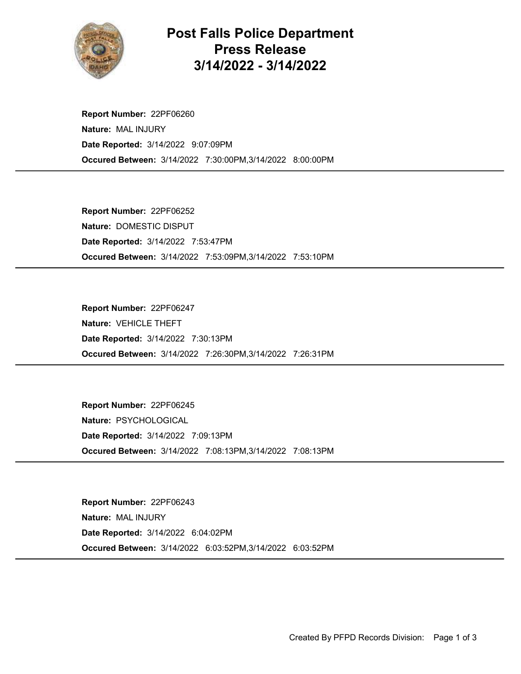

## Post Falls Police Department Press Release 3/14/2022 - 3/14/2022

Occured Between: 3/14/2022 7:30:00PM,3/14/2022 8:00:00PM Report Number: 22PF06260 Nature: MAL INJURY Date Reported: 3/14/2022 9:07:09PM

Occured Between: 3/14/2022 7:53:09PM,3/14/2022 7:53:10PM Report Number: 22PF06252 Nature: DOMESTIC DISPUT Date Reported: 3/14/2022 7:53:47PM

Occured Between: 3/14/2022 7:26:30PM,3/14/2022 7:26:31PM Report Number: 22PF06247 Nature: VEHICLE THEFT Date Reported: 3/14/2022 7:30:13PM

Occured Between: 3/14/2022 7:08:13PM,3/14/2022 7:08:13PM Report Number: 22PF06245 Nature: PSYCHOLOGICAL Date Reported: 3/14/2022 7:09:13PM

Occured Between: 3/14/2022 6:03:52PM,3/14/2022 6:03:52PM Report Number: 22PF06243 Nature: MAL INJURY Date Reported: 3/14/2022 6:04:02PM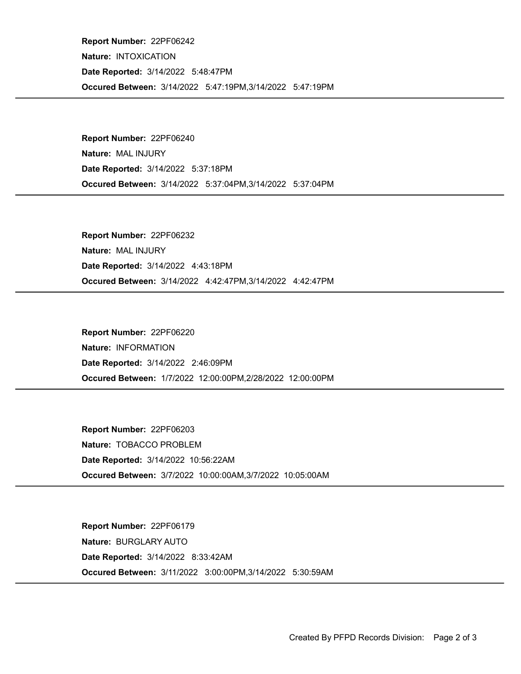Occured Between: 3/14/2022 5:47:19PM,3/14/2022 5:47:19PM Report Number: 22PF06242 Nature: INTOXICATION Date Reported: 3/14/2022 5:48:47PM

Occured Between: 3/14/2022 5:37:04PM,3/14/2022 5:37:04PM Report Number: 22PF06240 Nature: MAL INJURY Date Reported: 3/14/2022 5:37:18PM

Occured Between: 3/14/2022 4:42:47PM,3/14/2022 4:42:47PM Report Number: 22PF06232 Nature: MAL INJURY Date Reported: 3/14/2022 4:43:18PM

Occured Between: 1/7/2022 12:00:00PM,2/28/2022 12:00:00PM Report Number: 22PF06220 Nature: INFORMATION Date Reported: 3/14/2022 2:46:09PM

Occured Between: 3/7/2022 10:00:00AM,3/7/2022 10:05:00AM Report Number: 22PF06203 Nature: TOBACCO PROBLEM Date Reported: 3/14/2022 10:56:22AM

Occured Between: 3/11/2022 3:00:00PM,3/14/2022 5:30:59AM Report Number: 22PF06179 Nature: BURGLARY AUTO Date Reported: 3/14/2022 8:33:42AM